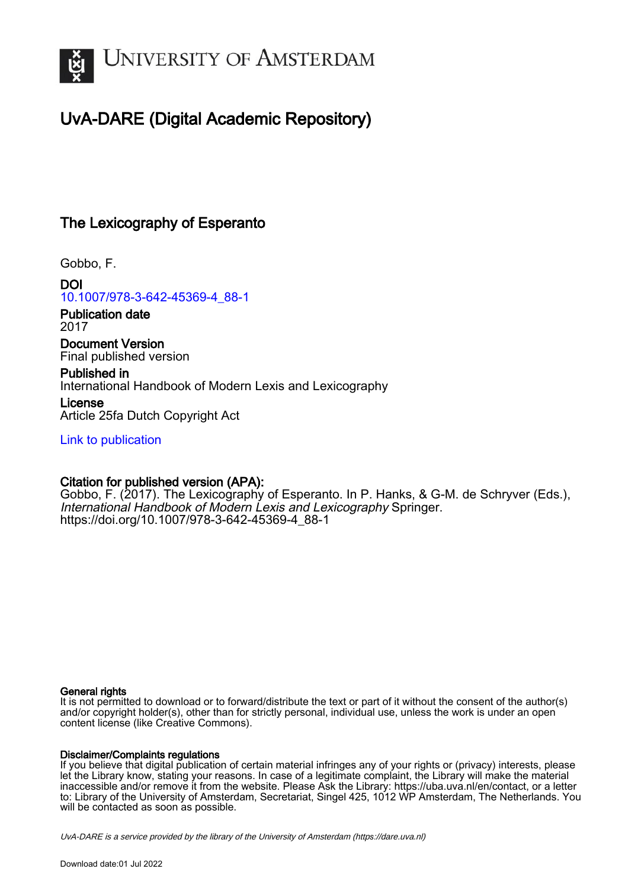

## UvA-DARE (Digital Academic Repository)

## The Lexicography of Esperanto

Gobbo, F.

DOI [10.1007/978-3-642-45369-4\\_88-1](https://doi.org/10.1007/978-3-642-45369-4_88-1)

Publication date 2017

Document Version Final published version

Published in International Handbook of Modern Lexis and Lexicography

License Article 25fa Dutch Copyright Act

[Link to publication](https://dare.uva.nl/personal/pure/en/publications/the-lexicography-of-esperanto(31f64920-db97-4700-a3c0-f1c13920648f).html)

## Citation for published version (APA):

Gobbo, F. (2017). The Lexicography of Esperanto. In P. Hanks, & G-M. de Schryver (Eds.), International Handbook of Modern Lexis and Lexicography Springer. [https://doi.org/10.1007/978-3-642-45369-4\\_88-1](https://doi.org/10.1007/978-3-642-45369-4_88-1)

## General rights

It is not permitted to download or to forward/distribute the text or part of it without the consent of the author(s) and/or copyright holder(s), other than for strictly personal, individual use, unless the work is under an open content license (like Creative Commons).

## Disclaimer/Complaints regulations

If you believe that digital publication of certain material infringes any of your rights or (privacy) interests, please let the Library know, stating your reasons. In case of a legitimate complaint, the Library will make the material inaccessible and/or remove it from the website. Please Ask the Library: https://uba.uva.nl/en/contact, or a letter to: Library of the University of Amsterdam, Secretariat, Singel 425, 1012 WP Amsterdam, The Netherlands. You will be contacted as soon as possible.

UvA-DARE is a service provided by the library of the University of Amsterdam (http*s*://dare.uva.nl)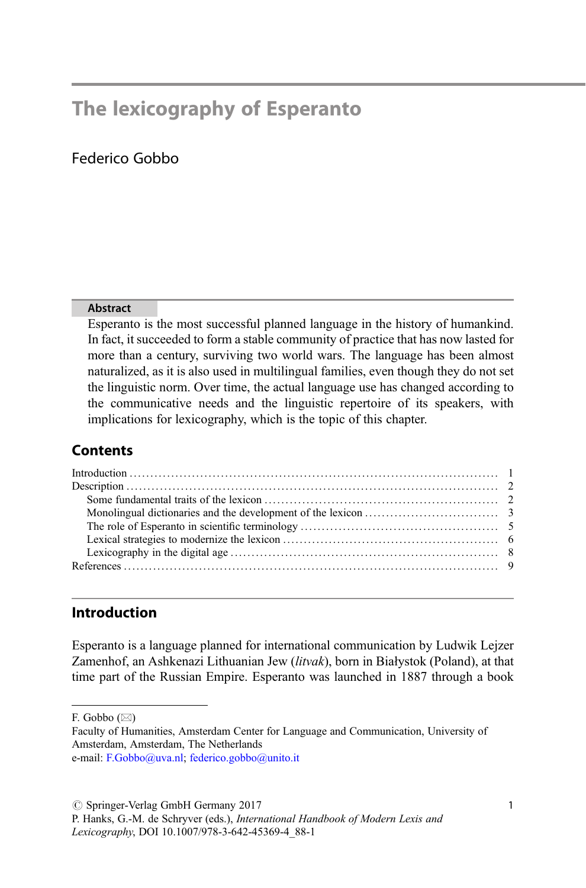# The lexicography of Esperanto

## Federico Gobbo

## Abstract

Esperanto is the most successful planned language in the history of humankind. In fact, it succeeded to form a stable community of practice that has now lasted for more than a century, surviving two world wars. The language has been almost naturalized, as it is also used in multilingual families, even though they do not set the linguistic norm. Over time, the actual language use has changed according to the communicative needs and the linguistic repertoire of its speakers, with implications for lexicography, which is the topic of this chapter.

## **Contents**

## Introduction

Esperanto is a language planned for international communication by Ludwik Lejzer Zamenhof, an Ashkenazi Lithuanian Jew (litvak), born in Białystok (Poland), at that time part of the Russian Empire. Esperanto was launched in 1887 through a book

F. Gobbo  $(\boxtimes)$ 

Faculty of Humanities, Amsterdam Center for Language and Communication, University of Amsterdam, Amsterdam, The Netherlands

e-mail: [F.Gobbo@uva.nl;](mailto:F.Gobbo@uva.nl) [federico.gobbo@unito.it](mailto:federico.gobbo@unito.it)

 $\oslash$  Springer-Verlag GmbH Germany 2017

P. Hanks, G.-M. de Schryver (eds.), International Handbook of Modern Lexis and Lexicography, DOI 10.1007/978-3-642-45369-4\_88-1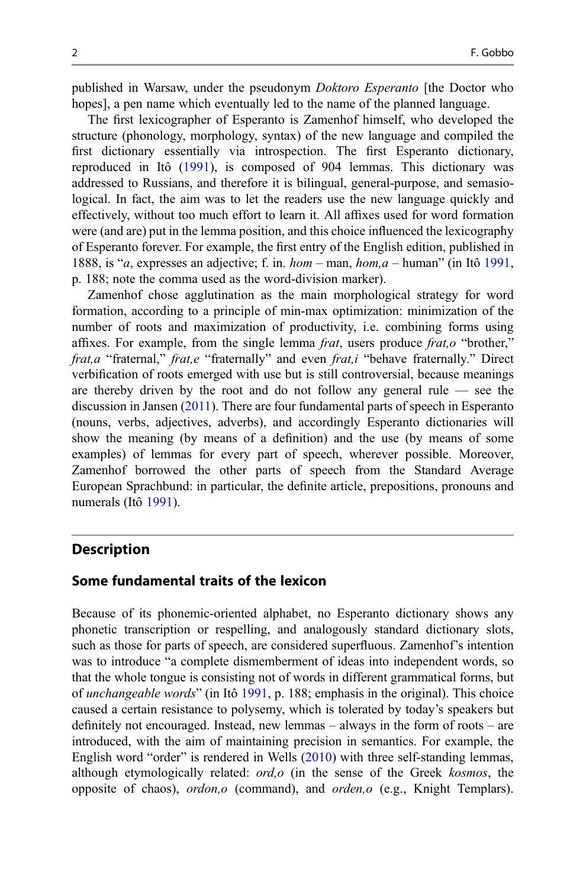published in Warsaw, under the pseudonym Doktoro Esperanto [the Doctor who hopes], a pen name which eventually led to the name of the planned language.

The first lexicographer of Esperanto is Zamenhof himself, who developed the structure (phonology, morphology, syntax) of the new language and compiled the first dictionary essentially via introspection. The first Esperanto dictionary, reproduced in Itô [\(1991](#page-9-0)), is composed of 904 lemmas. This dictionary was addressed to Russians, and therefore it is bilingual, general-purpose, and semasiological. In fact, the aim was to let the readers use the new language quickly and effectively, without too much effort to learn it. All affixes used for word formation were (and are) put in the lemma position, and this choice influenced the lexicography of Esperanto forever. For example, the first entry of the English edition, published in 1888, is "a, expresses an adjective; f. in.  $hom - man$ ,  $hom, a - human$ " (in Itô [1991](#page-9-0), p. 188; note the comma used as the word-division marker).

Zamenhof chose agglutination as the main morphological strategy for word formation, according to a principle of min-max optimization: minimization of the number of roots and maximization of productivity, i.e. combining forms using affixes. For example, from the single lemma frat, users produce frat,o "brother," frat,a "fraternal," frat,e "fraternally" and even frat,i "behave fraternally." Direct verbification of roots emerged with use but is still controversial, because meanings are thereby driven by the root and do not follow any general rule — see the discussion in Jansen ([2011](#page-9-0)). There are four fundamental parts of speech in Esperanto (nouns, verbs, adjectives, adverbs), and accordingly Esperanto dictionaries will show the meaning (by means of a definition) and the use (by means of some examples) of lemmas for every part of speech, wherever possible. Moreover, Zamenhof borrowed the other parts of speech from the Standard Average European Sprachbund: in particular, the definite article, prepositions, pronouns and numerals (Itô [1991\)](#page-9-0).

## **Description**

### Some fundamental traits of the lexicon

Because of its phonemic-oriented alphabet, no Esperanto dictionary shows any phonetic transcription or respelling, and analogously standard dictionary slots, such as those for parts of speech, are considered superfluous. Zamenhof's intention was to introduce "a complete dismemberment of ideas into independent words, so that the whole tongue is consisting not of words in different grammatical forms, but of unchangeable words" (in Itô [1991,](#page-9-0) p. 188; emphasis in the original). This choice caused a certain resistance to polysemy, which is tolerated by today's speakers but definitely not encouraged. Instead, new lemmas – always in the form of roots – are introduced, with the aim of maintaining precision in semantics. For example, the English word "order" is rendered in Wells [\(2010](#page-10-0)) with three self-standing lemmas, although etymologically related: ord, o (in the sense of the Greek kosmos, the opposite of chaos), ordon,o (command), and orden,o (e.g., Knight Templars).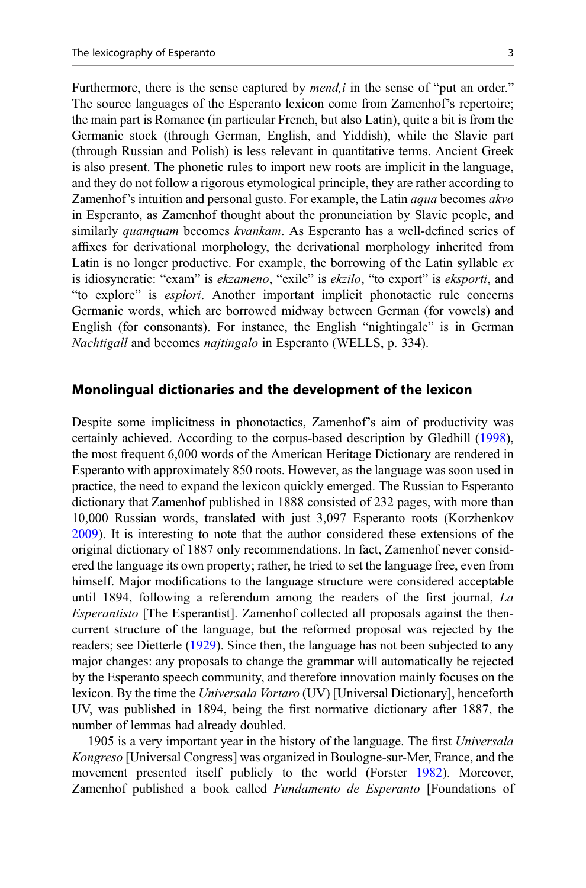Furthermore, there is the sense captured by  $mend, i$  in the sense of "put an order." The source languages of the Esperanto lexicon come from Zamenhof's repertoire; the main part is Romance (in particular French, but also Latin), quite a bit is from the Germanic stock (through German, English, and Yiddish), while the Slavic part (through Russian and Polish) is less relevant in quantitative terms. Ancient Greek is also present. The phonetic rules to import new roots are implicit in the language, and they do not follow a rigorous etymological principle, they are rather according to Zamenhof's intuition and personal gusto. For example, the Latin *aqua* becomes *akvo* in Esperanto, as Zamenhof thought about the pronunciation by Slavic people, and similarly *quanquam* becomes *kvankam*. As Esperanto has a well-defined series of affixes for derivational morphology, the derivational morphology inherited from Latin is no longer productive. For example, the borrowing of the Latin syllable  $ex$ is idiosyncratic: "exam" is *ekzameno*, "exile" is *ekzilo*, "to export" is *eksporti*, and "to explore" is esplori. Another important implicit phonotactic rule concerns Germanic words, which are borrowed midway between German (for vowels) and English (for consonants). For instance, the English "nightingale" is in German Nachtigall and becomes najtingalo in Esperanto (WELLS, p. 334).

## Monolingual dictionaries and the development of the lexicon

Despite some implicitness in phonotactics, Zamenhof's aim of productivity was certainly achieved. According to the corpus-based description by Gledhill ([1998\)](#page-9-0), the most frequent 6,000 words of the American Heritage Dictionary are rendered in Esperanto with approximately 850 roots. However, as the language was soon used in practice, the need to expand the lexicon quickly emerged. The Russian to Esperanto dictionary that Zamenhof published in 1888 consisted of 232 pages, with more than 10,000 Russian words, translated with just 3,097 Esperanto roots (Korzhenkov [2009\)](#page-9-0). It is interesting to note that the author considered these extensions of the original dictionary of 1887 only recommendations. In fact, Zamenhof never considered the language its own property; rather, he tried to set the language free, even from himself. Major modifications to the language structure were considered acceptable until 1894, following a referendum among the readers of the first journal, La Esperantisto [The Esperantist]. Zamenhof collected all proposals against the thencurrent structure of the language, but the reformed proposal was rejected by the readers; see Dietterle [\(1929](#page-9-0)). Since then, the language has not been subjected to any major changes: any proposals to change the grammar will automatically be rejected by the Esperanto speech community, and therefore innovation mainly focuses on the lexicon. By the time the Universala Vortaro (UV) [Universal Dictionary], henceforth UV, was published in 1894, being the first normative dictionary after 1887, the number of lemmas had already doubled.

1905 is a very important year in the history of the language. The first Universala Kongreso [Universal Congress] was organized in Boulogne-sur-Mer, France, and the movement presented itself publicly to the world (Forster [1982](#page-9-0)). Moreover, Zamenhof published a book called Fundamento de Esperanto [Foundations of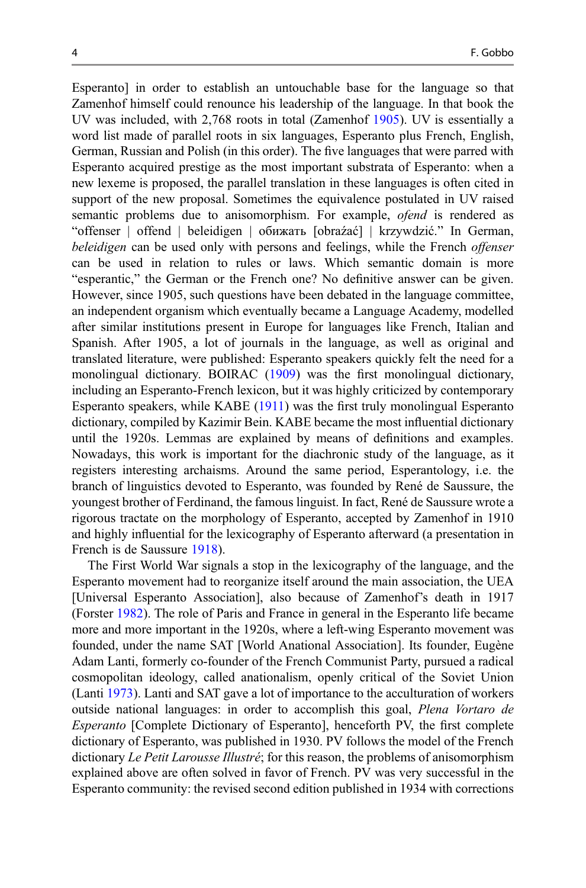Esperanto] in order to establish an untouchable base for the language so that Zamenhof himself could renounce his leadership of the language. In that book the UV was included, with 2,768 roots in total (Zamenhof [1905\)](#page-9-0). UV is essentially a word list made of parallel roots in six languages, Esperanto plus French, English, German, Russian and Polish (in this order). The five languages that were parred with Esperanto acquired prestige as the most important substrata of Esperanto: when a new lexeme is proposed, the parallel translation in these languages is often cited in support of the new proposal. Sometimes the equivalence postulated in UV raised semantic problems due to anisomorphism. For example, *ofend* is rendered as "offenser | offend | beleidigen | обижать [obraźać] | krzywdzić." In German, beleidigen can be used only with persons and feelings, while the French *offenser* can be used in relation to rules or laws. Which semantic domain is more "esperantic," the German or the French one? No definitive answer can be given. However, since 1905, such questions have been debated in the language committee, an independent organism which eventually became a Language Academy, modelled after similar institutions present in Europe for languages like French, Italian and Spanish. After 1905, a lot of journals in the language, as well as original and translated literature, were published: Esperanto speakers quickly felt the need for a monolingual dictionary. BOIRAC ([1909\)](#page-9-0) was the first monolingual dictionary, including an Esperanto-French lexicon, but it was highly criticized by contemporary Esperanto speakers, while KABE ([1911\)](#page-9-0) was the first truly monolingual Esperanto dictionary, compiled by Kazimir Bein. KABE became the most influential dictionary until the 1920s. Lemmas are explained by means of definitions and examples. Nowadays, this work is important for the diachronic study of the language, as it registers interesting archaisms. Around the same period, Esperantology, i.e. the branch of linguistics devoted to Esperanto, was founded by René de Saussure, the youngest brother of Ferdinand, the famous linguist. In fact, René de Saussure wrote a rigorous tractate on the morphology of Esperanto, accepted by Zamenhof in 1910 and highly influential for the lexicography of Esperanto afterward (a presentation in French is de Saussure [1918\)](#page-9-0).

The First World War signals a stop in the lexicography of the language, and the Esperanto movement had to reorganize itself around the main association, the UEA [Universal Esperanto Association], also because of Zamenhof's death in 1917 (Forster [1982](#page-9-0)). The role of Paris and France in general in the Esperanto life became more and more important in the 1920s, where a left-wing Esperanto movement was founded, under the name SAT [World Anational Association]. Its founder, Eugène Adam Lanti, formerly co-founder of the French Communist Party, pursued a radical cosmopolitan ideology, called anationalism, openly critical of the Soviet Union (Lanti [1973](#page-9-0)). Lanti and SAT gave a lot of importance to the acculturation of workers outside national languages: in order to accomplish this goal, Plena Vortaro de Esperanto [Complete Dictionary of Esperanto], henceforth PV, the first complete dictionary of Esperanto, was published in 1930. PV follows the model of the French dictionary Le Petit Larousse Illustré; for this reason, the problems of anisomorphism explained above are often solved in favor of French. PV was very successful in the Esperanto community: the revised second edition published in 1934 with corrections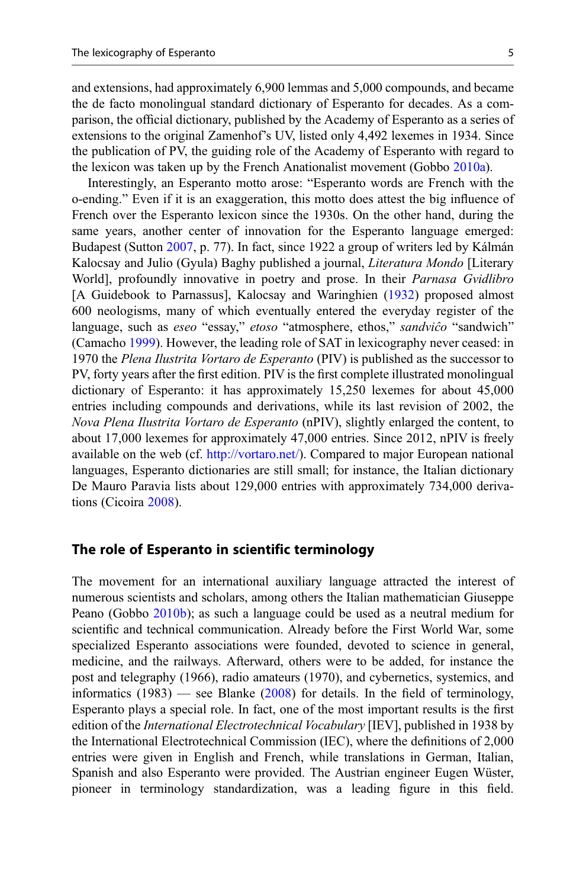and extensions, had approximately 6,900 lemmas and 5,000 compounds, and became the de facto monolingual standard dictionary of Esperanto for decades. As a comparison, the official dictionary, published by the Academy of Esperanto as a series of extensions to the original Zamenhof's UV, listed only 4,492 lexemes in 1934. Since the publication of PV, the guiding role of the Academy of Esperanto with regard to the lexicon was taken up by the French Anationalist movement (Gobbo [2010a](#page-9-0)).

Interestingly, an Esperanto motto arose: "Esperanto words are French with the o-ending." Even if it is an exaggeration, this motto does attest the big influence of French over the Esperanto lexicon since the 1930s. On the other hand, during the same years, another center of innovation for the Esperanto language emerged: Budapest (Sutton [2007,](#page-9-0) p. 77). In fact, since 1922 a group of writers led by Kálmán Kalocsay and Julio (Gyula) Baghy published a journal, Literatura Mondo [Literary World], profoundly innovative in poetry and prose. In their Parnasa Gvidlibro [A Guidebook to Parnassus], Kalocsay and Waringhien [\(1932](#page-9-0)) proposed almost 600 neologisms, many of which eventually entered the everyday register of the language, such as eseo "essay," etoso "atmosphere, ethos," sandviĉo "sandwich" (Camacho [1999\)](#page-9-0). However, the leading role of SAT in lexicography never ceased: in 1970 the Plena Ilustrita Vortaro de Esperanto (PIV) is published as the successor to PV, forty years after the first edition. PIV is the first complete illustrated monolingual dictionary of Esperanto: it has approximately 15,250 lexemes for about 45,000 entries including compounds and derivations, while its last revision of 2002, the Nova Plena Ilustrita Vortaro de Esperanto (nPIV), slightly enlarged the content, to about 17,000 lexemes for approximately 47,000 entries. Since 2012, nPIV is freely available on the web (cf. <http://vortaro.net/>). Compared to major European national languages, Esperanto dictionaries are still small; for instance, the Italian dictionary De Mauro Paravia lists about 129,000 entries with approximately 734,000 derivations (Cicoira [2008\)](#page-9-0).

#### The role of Esperanto in scientific terminology

The movement for an international auxiliary language attracted the interest of numerous scientists and scholars, among others the Italian mathematician Giuseppe Peano (Gobbo [2010b](#page-9-0)); as such a language could be used as a neutral medium for scientific and technical communication. Already before the First World War, some specialized Esperanto associations were founded, devoted to science in general, medicine, and the railways. Afterward, others were to be added, for instance the post and telegraphy (1966), radio amateurs (1970), and cybernetics, systemics, and informatics  $(1983)$  — see Blanke  $(2008)$  $(2008)$  for details. In the field of terminology, Esperanto plays a special role. In fact, one of the most important results is the first edition of the *International Electrotechnical Vocabulary* [IEV], published in 1938 by the International Electrotechnical Commission (IEC), where the definitions of 2,000 entries were given in English and French, while translations in German, Italian, Spanish and also Esperanto were provided. The Austrian engineer Eugen Wüster, pioneer in terminology standardization, was a leading figure in this field.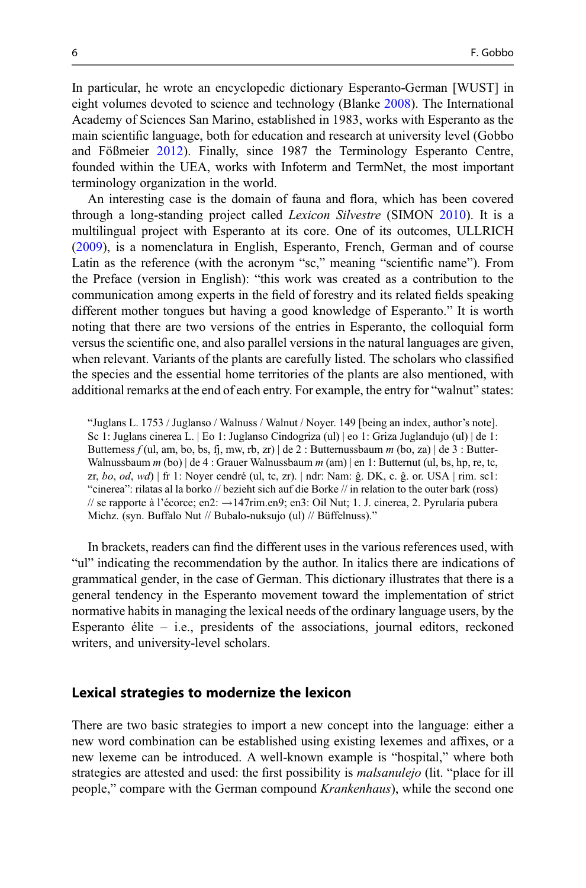In particular, he wrote an encyclopedic dictionary Esperanto-German [WUST] in eight volumes devoted to science and technology (Blanke [2008](#page-9-0)). The International Academy of Sciences San Marino, established in 1983, works with Esperanto as the main scientific language, both for education and research at university level (Gobbo and Fößmeier [2012\)](#page-9-0). Finally, since 1987 the Terminology Esperanto Centre, founded within the UEA, works with Infoterm and TermNet, the most important terminology organization in the world.

An interesting case is the domain of fauna and flora, which has been covered through a long-standing project called Lexicon Silvestre (SIMON [2010\)](#page-10-0). It is a multilingual project with Esperanto at its core. One of its outcomes, ULLRICH [\(2009](#page-10-0)), is a nomenclatura in English, Esperanto, French, German and of course Latin as the reference (with the acronym "sc," meaning "scientific name"). From the Preface (version in English): "this work was created as a contribution to the communication among experts in the field of forestry and its related fields speaking different mother tongues but having a good knowledge of Esperanto." It is worth noting that there are two versions of the entries in Esperanto, the colloquial form versus the scientific one, and also parallel versions in the natural languages are given, when relevant. Variants of the plants are carefully listed. The scholars who classified the species and the essential home territories of the plants are also mentioned, with additional remarks at the end of each entry. For example, the entry for "walnut" states:

"Juglans L. 1753 / Juglanso / Walnuss / Walnut / Noyer. 149 [being an index, author's note]. Sc 1: Juglans cinerea L. | Eo 1: Juglanso Cindogriza (ul) | eo 1: Griza Juglandujo (ul) | de 1: Butterness f (ul, am, bo, bs, fj, mw, rb, zr) | de 2 : Butternussbaum m (bo, za) | de 3 : Butter-Walnussbaum  $m$  (bo)  $\det$  4 : Grauer Walnussbaum  $m$  (am)  $\det$  1: Butternut (ul, bs, hp, re, tc, zr, bo, od, wd) | fr 1: Noyer cendré (ul, tc, zr). | ndr: Nam: ĝ. DK, c. ĝ. or. USA | rim. sc1: "cinerea": rilatas al la borko // bezieht sich auf die Borke // in relation to the outer bark (ross) // se rapporte à l'écorce; en2:  $\rightarrow$  147rim.en9; en3: Oil Nut; 1. J. cinerea, 2. Pyrularia pubera Michz. (syn. Buffalo Nut // Bubalo-nuksujo (ul) // Büffelnuss)."

In brackets, readers can find the different uses in the various references used, with "ul" indicating the recommendation by the author. In italics there are indications of grammatical gender, in the case of German. This dictionary illustrates that there is a general tendency in the Esperanto movement toward the implementation of strict normative habits in managing the lexical needs of the ordinary language users, by the Esperanto élite – i.e., presidents of the associations, journal editors, reckoned writers, and university-level scholars.

#### Lexical strategies to modernize the lexicon

There are two basic strategies to import a new concept into the language: either a new word combination can be established using existing lexemes and affixes, or a new lexeme can be introduced. A well-known example is "hospital," where both strategies are attested and used: the first possibility is malsanulejo (lit. "place for ill people," compare with the German compound Krankenhaus), while the second one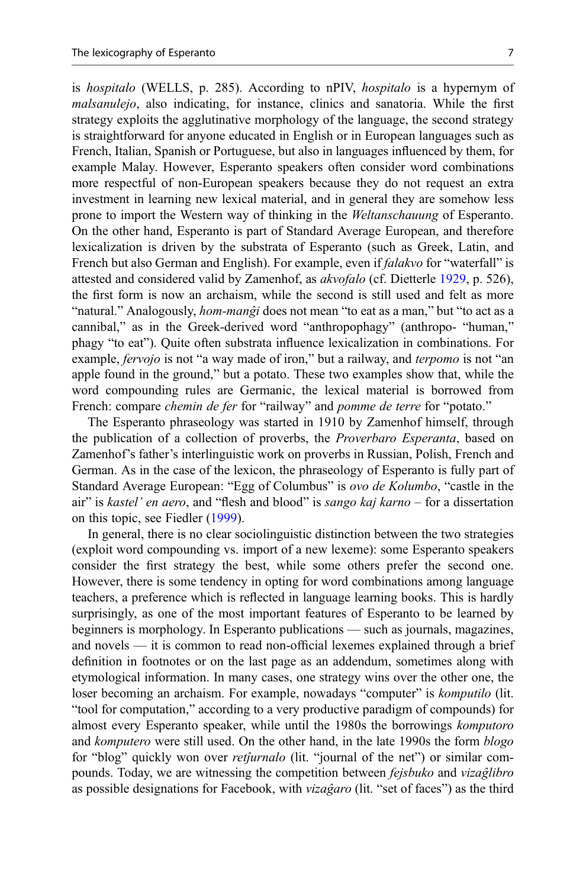is hospitalo (WELLS, p. 285). According to nPIV, hospitalo is a hypernym of malsanulejo, also indicating, for instance, clinics and sanatoria. While the first strategy exploits the agglutinative morphology of the language, the second strategy is straightforward for anyone educated in English or in European languages such as French, Italian, Spanish or Portuguese, but also in languages influenced by them, for example Malay. However, Esperanto speakers often consider word combinations more respectful of non-European speakers because they do not request an extra investment in learning new lexical material, and in general they are somehow less prone to import the Western way of thinking in the Weltanschauung of Esperanto. On the other hand, Esperanto is part of Standard Average European, and therefore lexicalization is driven by the substrata of Esperanto (such as Greek, Latin, and French but also German and English). For example, even if *falakvo* for "waterfall" is attested and considered valid by Zamenhof, as akvofalo (cf. Dietterle [1929,](#page-9-0) p. 526), the first form is now an archaism, while the second is still used and felt as more "natural." Analogously, *hom-manĝi* does not mean "to eat as a man," but "to act as a cannibal," as in the Greek-derived word "anthropophagy" (anthropo- "human," phagy "to eat"). Quite often substrata influence lexicalization in combinations. For example, *fervojo* is not "a way made of iron," but a railway, and *terpomo* is not "an apple found in the ground," but a potato. These two examples show that, while the word compounding rules are Germanic, the lexical material is borrowed from French: compare *chemin de fer* for "railway" and *pomme de terre* for "potato."

The Esperanto phraseology was started in 1910 by Zamenhof himself, through the publication of a collection of proverbs, the Proverbaro Esperanta, based on Zamenhof's father's interlinguistic work on proverbs in Russian, Polish, French and German. As in the case of the lexicon, the phraseology of Esperanto is fully part of Standard Average European: "Egg of Columbus" is ovo de Kolumbo, "castle in the air" is kastel' en aero, and "flesh and blood" is sango kaj karno – for a dissertation on this topic, see Fiedler ([1999\)](#page-9-0).

In general, there is no clear sociolinguistic distinction between the two strategies (exploit word compounding vs. import of a new lexeme): some Esperanto speakers consider the first strategy the best, while some others prefer the second one. However, there is some tendency in opting for word combinations among language teachers, a preference which is reflected in language learning books. This is hardly surprisingly, as one of the most important features of Esperanto to be learned by beginners is morphology. In Esperanto publications — such as journals, magazines, and novels — it is common to read non-official lexemes explained through a brief definition in footnotes or on the last page as an addendum, sometimes along with etymological information. In many cases, one strategy wins over the other one, the loser becoming an archaism. For example, nowadays "computer" is komputilo (lit. "tool for computation," according to a very productive paradigm of compounds) for almost every Esperanto speaker, while until the 1980s the borrowings komputoro and komputero were still used. On the other hand, in the late 1990s the form blogo for "blog" quickly won over *retjurnalo* (lit. "journal of the net") or similar compounds. Today, we are witnessing the competition between fejsbuko and vizaĝlibro as possible designations for Facebook, with *vizagaro* (lit. "set of faces") as the third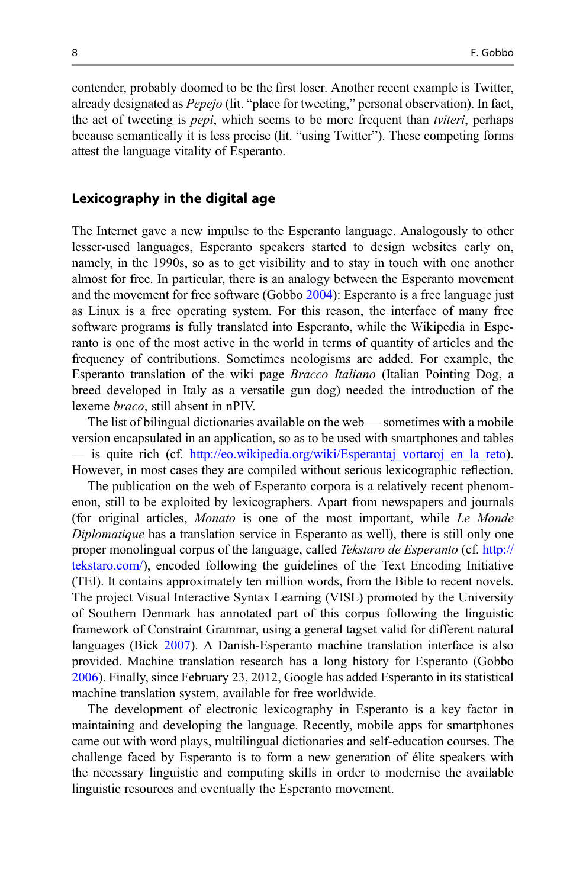contender, probably doomed to be the first loser. Another recent example is Twitter, already designated as Pepejo (lit. "place for tweeting," personal observation). In fact, the act of tweeting is *pepi*, which seems to be more frequent than *tviteri*, perhaps because semantically it is less precise (lit. "using Twitter"). These competing forms attest the language vitality of Esperanto.

### Lexicography in the digital age

The Internet gave a new impulse to the Esperanto language. Analogously to other lesser-used languages, Esperanto speakers started to design websites early on, namely, in the 1990s, so as to get visibility and to stay in touch with one another almost for free. In particular, there is an analogy between the Esperanto movement and the movement for free software (Gobbo [2004\)](#page-9-0): Esperanto is a free language just as Linux is a free operating system. For this reason, the interface of many free software programs is fully translated into Esperanto, while the Wikipedia in Esperanto is one of the most active in the world in terms of quantity of articles and the frequency of contributions. Sometimes neologisms are added. For example, the Esperanto translation of the wiki page Bracco Italiano (Italian Pointing Dog, a breed developed in Italy as a versatile gun dog) needed the introduction of the lexeme braco, still absent in nPIV.

The list of bilingual dictionaries available on the web — sometimes with a mobile version encapsulated in an application, so as to be used with smartphones and tables — is quite rich (cf. http://eo.wikipedia.org/wiki/Esperantaj vortaroj en la reto). However, in most cases they are compiled without serious lexicographic reflection.

The publication on the web of Esperanto corpora is a relatively recent phenomenon, still to be exploited by lexicographers. Apart from newspapers and journals (for original articles, Monato is one of the most important, while Le Monde Diplomatique has a translation service in Esperanto as well), there is still only one proper monolingual corpus of the language, called Tekstaro de Esperanto (cf. [http://](http://tekstaro.com/) [tekstaro.com/](http://tekstaro.com/)), encoded following the guidelines of the Text Encoding Initiative (TEI). It contains approximately ten million words, from the Bible to recent novels. The project Visual Interactive Syntax Learning (VISL) promoted by the University of Southern Denmark has annotated part of this corpus following the linguistic framework of Constraint Grammar, using a general tagset valid for different natural languages (Bick [2007](#page-9-0)). A Danish-Esperanto machine translation interface is also provided. Machine translation research has a long history for Esperanto (Gobbo [2006\)](#page-9-0). Finally, since February 23, 2012, Google has added Esperanto in its statistical machine translation system, available for free worldwide.

The development of electronic lexicography in Esperanto is a key factor in maintaining and developing the language. Recently, mobile apps for smartphones came out with word plays, multilingual dictionaries and self-education courses. The challenge faced by Esperanto is to form a new generation of élite speakers with the necessary linguistic and computing skills in order to modernise the available linguistic resources and eventually the Esperanto movement.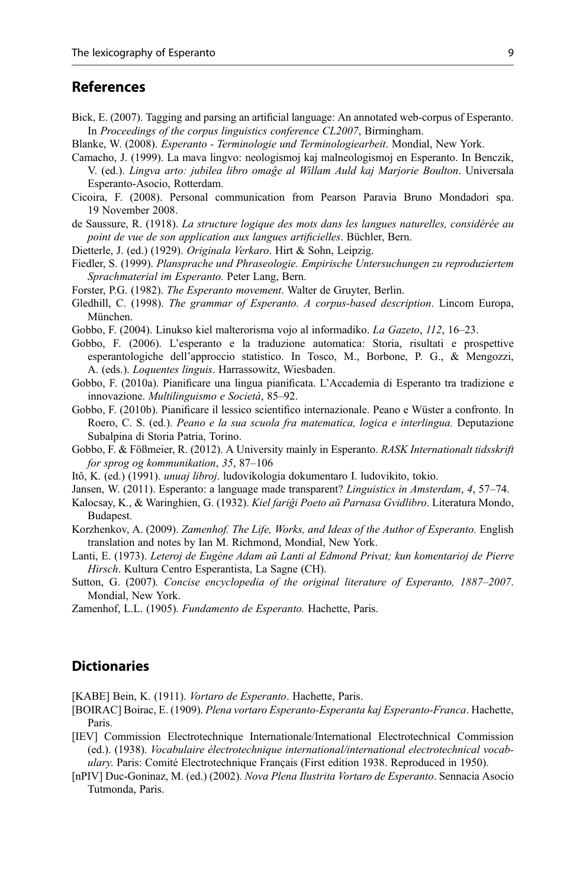## <span id="page-9-0"></span>References

- Bick, E. (2007). Tagging and parsing an artificial language: An annotated web-corpus of Esperanto. In Proceedings of the corpus linguistics conference CL2007, Birmingham.
- Blanke, W. (2008). Esperanto Terminologie und Terminologiearbeit. Mondial, New York.
- Camacho, J. (1999). La mava lingvo: neologismoj kaj malneologismoj en Esperanto. In Benczik, V. (ed.). Lingva arto: jubilea libro omaĝe al Willam Auld kaj Marjorie Boulton. Universala Esperanto-Asocio, Rotterdam.
- Cicoira, F. (2008). Personal communication from Pearson Paravia Bruno Mondadori spa. 19 November 2008.
- de Saussure, R. (1918). La structure logique des mots dans les langues naturelles, considérée au point de vue de son application aux langues artificielles. Büchler, Bern.
- Dietterle, J. (ed.) (1929). Originala Verkaro. Hirt & Sohn, Leipzig.
- Fiedler, S. (1999). Plansprache und Phraseologie. Empirische Untersuchungen zu reproduziertem Sprachmaterial im Esperanto. Peter Lang, Bern.
- Forster, P.G. (1982). The Esperanto movement. Walter de Gruyter, Berlin.
- Gledhill, C. (1998). The grammar of Esperanto. A corpus-based description. Lincom Europa, München.
- Gobbo, F. (2004). Linukso kiel malterorisma vojo al informadiko. La Gazeto, 112, 16–23.
- Gobbo, F. (2006). L'esperanto e la traduzione automatica: Storia, risultati e prospettive esperantologiche dell'approccio statistico. In Tosco, M., Borbone, P. G., & Mengozzi, A. (eds.). Loquentes linguis. Harrassowitz, Wiesbaden.
- Gobbo, F. (2010a). Pianificare una lingua pianificata. L'Accademia di Esperanto tra tradizione e innovazione. Multilinguismo e Società, 85–92.
- Gobbo, F. (2010b). Pianificare il lessico scientifico internazionale. Peano e Wüster a confronto. In Roero, C. S. (ed.). Peano e la sua scuola fra matematica, logica e interlingua. Deputazione Subalpina di Storia Patria, Torino.
- Gobbo, F. & Fößmeier, R. (2012). A University mainly in Esperanto. RASK Internationalt tidsskrift for sprog og kommunikation, 35, 87–106
- Itô, K. (ed.) (1991). unuaj libroj. ludovikologia dokumentaro I. ludovikito, tokio.
- Jansen, W. (2011). Esperanto: a language made transparent? Linguistics in Amsterdam, 4, 57–74.
- Kalocsay, K., & Waringhien, G. (1932). Kiel fariĝi Poeto aŭ Parnasa Gvidlibro. Literatura Mondo, Budapest.
- Korzhenkov, A. (2009). Zamenhof. The Life, Works, and Ideas of the Author of Esperanto. English translation and notes by Ian M. Richmond, Mondial, New York.
- Lanti, E. (1973). Leteroj de Eugène Adam aŭ Lanti al Edmond Privat; kun komentarioj de Pierre Hirsch. Kultura Centro Esperantista, La Sagne (CH).
- Sutton, G. (2007). Concise encyclopedia of the original literature of Esperanto, 1887–2007. Mondial, New York.
- Zamenhof, L.L. (1905). Fundamento de Esperanto. Hachette, Paris.

## **Dictionaries**

[KABE] Bein, K. (1911). Vortaro de Esperanto. Hachette, Paris.

- [BOIRAC] Boirac, E. (1909). Plena vortaro Esperanto-Esperanta kaj Esperanto-Franca. Hachette, Paris.
- [IEV] Commission Electrotechnique Internationale/International Electrotechnical Commission (ed.). (1938). Vocabulaire électrotechnique international/international electrotechnical vocabulary. Paris: Comité Electrotechnique Français (First edition 1938. Reproduced in 1950).
- [nPIV] Duc-Goninaz, M. (ed.) (2002). Nova Plena Ilustrita Vortaro de Esperanto. Sennacia Asocio Tutmonda, Paris.